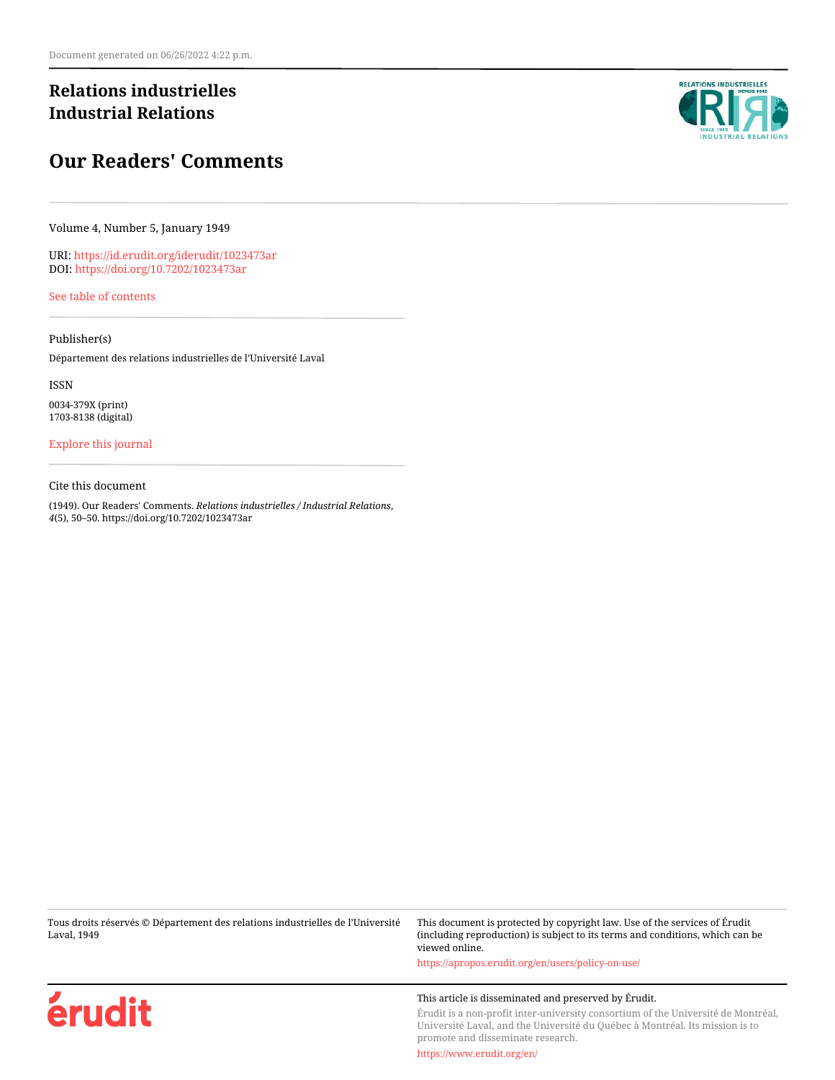## **Relations industrielles Industrial Relations**

# **Our Readers' Comments**

Volume 4, Number 5, January 1949

URI:<https://id.erudit.org/iderudit/1023473ar> DOI:<https://doi.org/10.7202/1023473ar>

[See table of contents](https://www.erudit.org/en/journals/ri/1949-v4-n5-ri01237/)

Publisher(s)

Département des relations industrielles de l'Université Laval

ISSN 0034-379X (print) 1703-8138 (digital)

[Explore this journal](https://www.erudit.org/en/journals/ri/)

Cite this document

(1949). Our Readers' Comments. *Relations industrielles / Industrial Relations*, *4*(5), 50–50. https://doi.org/10.7202/1023473ar

Tous droits réservés © Département des relations industrielles de l'Université Laval, 1949

This document is protected by copyright law. Use of the services of Érudit (including reproduction) is subject to its terms and conditions, which can be viewed online.

<https://apropos.erudit.org/en/users/policy-on-use/>

### This article is disseminated and preserved by Érudit.

Érudit is a non-profit inter-university consortium of the Université de Montréal, Université Laval, and the Université du Québec à Montréal. Its mission is to promote and disseminate research.

<https://www.erudit.org/en/>